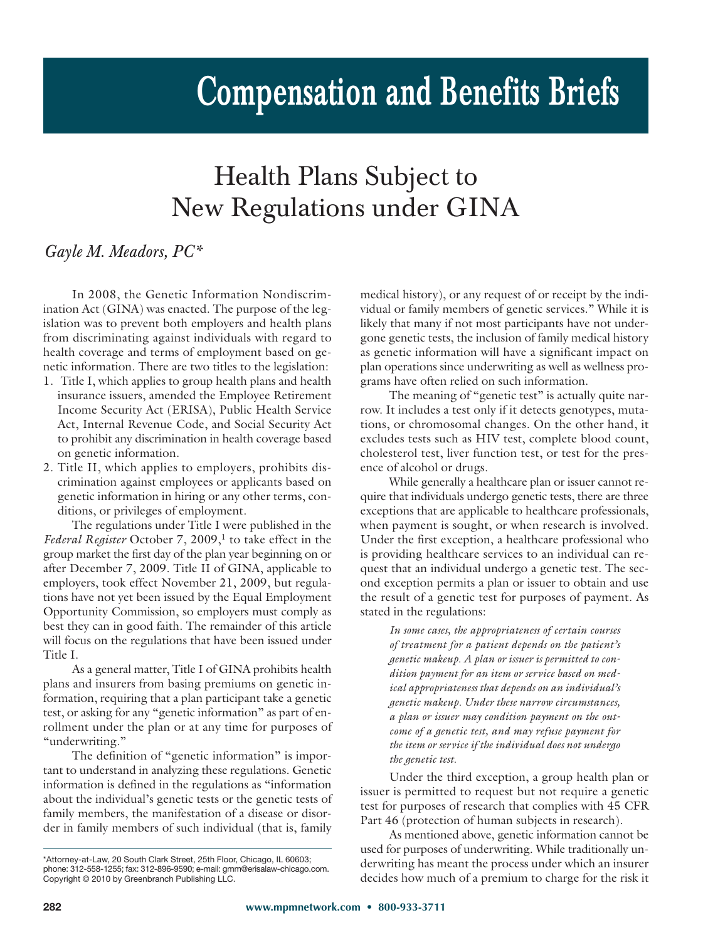## **Compensation and Benefits Briefs**

## Health Plans Subject to New Regulations under GINA

## *Gayle M. Meadors, PC\**

In 2008, the Genetic Information Nondiscrimination Act (GINA) was enacted. The purpose of the legislation was to prevent both employers and health plans from discriminating against individuals with regard to health coverage and terms of employment based on genetic information. There are two titles to the legislation:

- 1. Title I, which applies to group health plans and health insurance issuers, amended the Employee Retirement Income Security Act (ERISA), Public Health Service Act, Internal Revenue Code, and Social Security Act to prohibit any discrimination in health coverage based on genetic information.
- 2. Title II, which applies to employers, prohibits discrimination against employees or applicants based on genetic information in hiring or any other terms, conditions, or privileges of employment.

The regulations under Title I were published in the *Federal Register* October 7, 2009, <sup>1</sup> to take effect in the group market the first day of the plan year beginning on or after December 7, 2009. Title II of GINA, applicable to employers, took effect November 21, 2009, but regulations have not yet been issued by the Equal Employment Opportunity Commission, so employers must comply as best they can in good faith. The remainder of this article will focus on the regulations that have been issued under Title I.

As a general matter, Title I of GINA prohibits health plans and insurers from basing premiums on genetic information, requiring that a plan participant take a genetic test, or asking for any "genetic information" as part of enrollment under the plan or at any time for purposes of "underwriting."

The definition of "genetic information" is important to understand in analyzing these regulations. Genetic information is defined in the regulations as "information about the individual's genetic tests or the genetic tests of family members, the manifestation of a disease or disorder in family members of such individual (that is, family

medical history), or any request of or receipt by the individual or family members of genetic services." While it is likely that many if not most participants have not undergone genetic tests, the inclusion of family medical history as genetic information will have a significant impact on plan operations since underwriting as well as wellness programs have often relied on such information.

The meaning of "genetic test" is actually quite narrow. It includes a test only if it detects genotypes, mutations, or chromosomal changes. On the other hand, it excludes tests such as HIV test, complete blood count, cholesterol test, liver function test, or test for the presence of alcohol or drugs.

While generally a healthcare plan or issuer cannot require that individuals undergo genetic tests, there are three exceptions that are applicable to healthcare professionals, when payment is sought, or when research is involved. Under the first exception, a healthcare professional who is providing healthcare services to an individual can request that an individual undergo a genetic test. The second exception permits a plan or issuer to obtain and use the result of a genetic test for purposes of payment. As stated in the regulations:

*In some cases, the appropriateness of certain courses of treatment for a patient depends on the patient's genetic makeup. A plan or issuer is permitted to condition payment for an item or service based on medical appropriateness that depends on an individual's genetic makeup. Under these narrow circumstances, a plan or issuer may condition payment on the outcome of a genetic test, and may refuse payment for the item or service if the individual does not undergo the genetic test.* 

Under the third exception, a group health plan or issuer is permitted to request but not require a genetic test for purposes of research that complies with 45 CFR Part 46 (protection of human subjects in research).

As mentioned above, genetic information cannot be used for purposes of underwriting. While traditionally underwriting has meant the process under which an insurer decides how much of a premium to charge for the risk it

<sup>\*</sup>Attorney-at-Law, 20 South Clark Street, 25th Floor, Chicago, IL 60603; phone: 312-558-1255; fax: 312-896-9590; e-mail: gmm@erisalaw-chicago.com. Copyright © 2010 by Greenbranch Publishing LLC.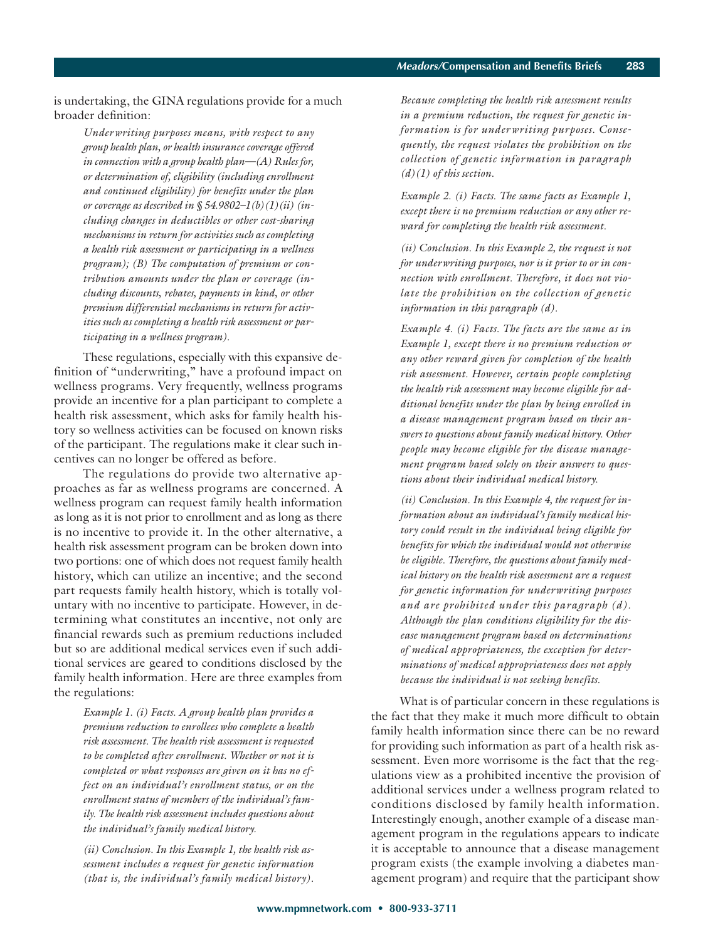is undertaking, the GINA regulations provide for a much broader definition:

*Underwriting purposes means, with respect to any group health plan, or health insurance coverage offered in connection with a group health plan—(A) Rules for, or determination of, eligibility (including enrollment and continued eligibility) for benefits under the plan or coverage as described in § 54.9802–1(b)(1)(ii) (including changes in deductibles or other cost-sharing mechanisms in return for activities such as completing a health risk assessment or participating in a wellness program); (B) The computation of premium or contribution amounts under the plan or coverage (including discounts, rebates, payments in kind, or other premium differential mechanisms in return for activities such as completing a health risk assessment or participating in a wellness program).*

These regulations, especially with this expansive definition of "underwriting," have a profound impact on wellness programs. Very frequently, wellness programs provide an incentive for a plan participant to complete a health risk assessment, which asks for family health history so wellness activities can be focused on known risks of the participant. The regulations make it clear such incentives can no longer be offered as before.

The regulations do provide two alternative approaches as far as wellness programs are concerned. A wellness program can request family health information as long as it is not prior to enrollment and as long as there is no incentive to provide it. In the other alternative, a health risk assessment program can be broken down into two portions: one of which does not request family health history, which can utilize an incentive; and the second part requests family health history, which is totally voluntary with no incentive to participate. However, in determining what constitutes an incentive, not only are financial rewards such as premium reductions included but so are additional medical services even if such additional services are geared to conditions disclosed by the family health information. Here are three examples from the regulations:

*Example 1. (i) Facts. A group health plan provides a premium reduction to enrollees who complete a health risk assessment. The health risk assessment is requested to be completed after enrollment. Whether or not it is completed or what responses are given on it has no effect on an individual's enrollment status, or on the enrollment status of members of the individual's family. The health risk assessment includes questions about the individual's family medical history.*

*(ii) Conclusion. In this Example 1, the health risk assessment includes a request for genetic information (that is, the individual's family medical history).*

*Because completing the health risk assessment results in a premium reduction, the request for genetic information is for underwriting purposes. Conse quently, the request violates the prohibition on the collection of genetic information in paragraph (d)(1) of this section.*

*Example 2. (i) Facts. The same facts as Example 1, except there is no premium reduction or any other reward for completing the health risk assessment.*

*(ii) Conclusion. In this Example 2, the request is not for underwriting purposes, nor is it prior to or in connection with enrollment. Therefore, it does not violate the prohibition on the collection of genetic information in this paragraph (d).*

*Example 4. (i) Facts. The facts are the same as in Example 1, except there is no premium reduction or any other reward given for completion of the health risk assessment. However, certain people completing the health risk assessment may become eligible for additional benefits under the plan by being enrolled in a disease management program based on their answers to questions about family medical history. Other people may become eligible for the disease management program based solely on their answers to questions about their individual medical history.*

*(ii) Conclusion. In this Example 4, the request for information about an individual's family medical history could result in the individual being eligible for benefits for which the individual would not otherwise be eligible. Therefore, the questions about family medical history on the health risk assessment are a request for genetic information for underwriting purposes and are prohibited under this paragraph (d). Although the plan conditions eligibility for the disease management program based on determinations of medical appropriateness, the exception for determinations of medical appropriateness does not apply because the individual is not seeking benefits.*

What is of particular concern in these regulations is the fact that they make it much more difficult to obtain family health information since there can be no reward for providing such information as part of a health risk assessment. Even more worrisome is the fact that the regulations view as a prohibited incentive the provision of additional services under a wellness program related to conditions disclosed by family health information. Interestingly enough, another example of a disease management program in the regulations appears to indicate it is acceptable to announce that a disease management program exists (the example involving a diabetes management program) and require that the participant show